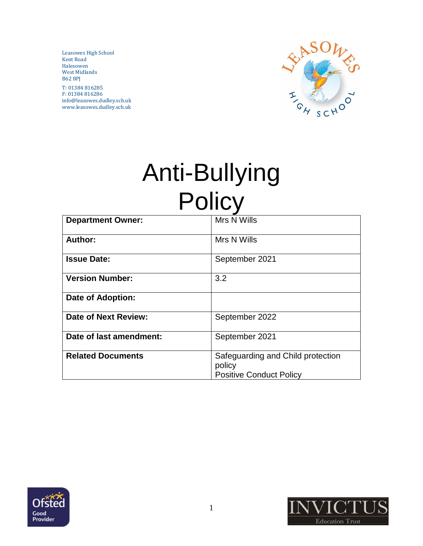Leasowes High School Kent Road Halesowen West Midlands B62 8PJ

T: 01384 816285 F: 01384 816286 info@leasowes.dudley.sch.uk www.leasowes.dudley.sch.uk



# Anti-Bullying **Policy**

| <b>Department Owner:</b> | Mrs N Wills                                                                   |
|--------------------------|-------------------------------------------------------------------------------|
| Author:                  | Mrs N Wills                                                                   |
| <b>Issue Date:</b>       | September 2021                                                                |
| <b>Version Number:</b>   | 3.2                                                                           |
| <b>Date of Adoption:</b> |                                                                               |
| Date of Next Review:     | September 2022                                                                |
| Date of last amendment:  | September 2021                                                                |
| <b>Related Documents</b> | Safeguarding and Child protection<br>policy<br><b>Positive Conduct Policy</b> |



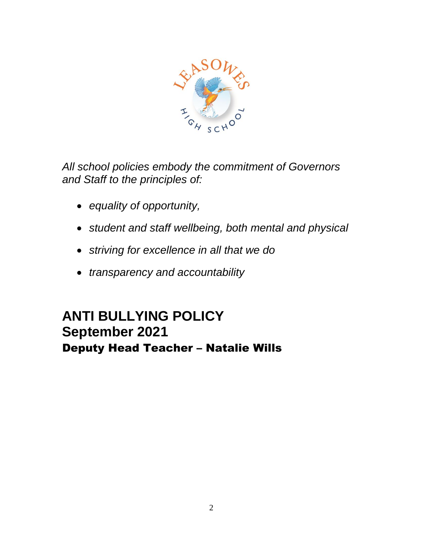

*All school policies embody the commitment of Governors and Staff to the principles of:*

- *equality of opportunity,*
- *student and staff wellbeing, both mental and physical*
- *striving for excellence in all that we do*
- *transparency and accountability*

## **ANTI BULLYING POLICY September 2021** Deputy Head Teacher – Natalie Wills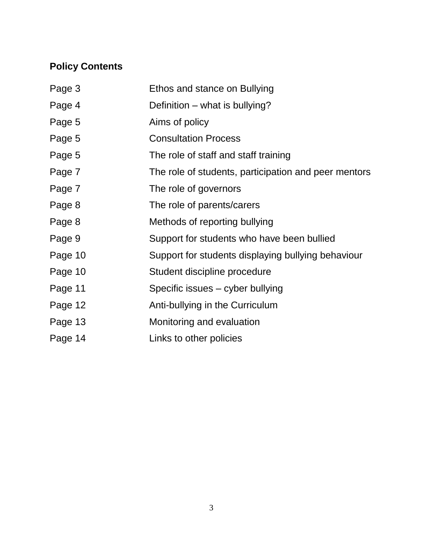## **Policy Contents**

| Page 3  | Ethos and stance on Bullying                         |
|---------|------------------------------------------------------|
| Page 4  | Definition – what is bullying?                       |
| Page 5  | Aims of policy                                       |
| Page 5  | <b>Consultation Process</b>                          |
| Page 5  | The role of staff and staff training                 |
| Page 7  | The role of students, participation and peer mentors |
| Page 7  | The role of governors                                |
| Page 8  | The role of parents/carers                           |
| Page 8  | Methods of reporting bullying                        |
| Page 9  | Support for students who have been bullied           |
| Page 10 | Support for students displaying bullying behaviour   |
| Page 10 | Student discipline procedure                         |
| Page 11 | Specific issues - cyber bullying                     |
| Page 12 | Anti-bullying in the Curriculum                      |
| Page 13 | Monitoring and evaluation                            |
| Page 14 | Links to other policies                              |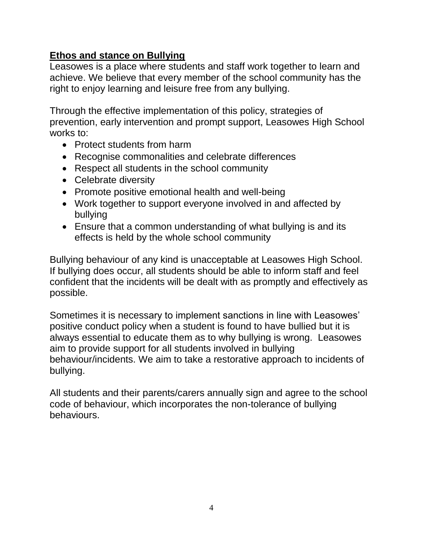#### **Ethos and stance on Bullying**

Leasowes is a place where students and staff work together to learn and achieve. We believe that every member of the school community has the right to enjoy learning and leisure free from any bullying.

Through the effective implementation of this policy, strategies of prevention, early intervention and prompt support, Leasowes High School works to:

- Protect students from harm
- Recognise commonalities and celebrate differences
- Respect all students in the school community
- Celebrate diversity
- Promote positive emotional health and well-being
- Work together to support everyone involved in and affected by bullying
- Ensure that a common understanding of what bullying is and its effects is held by the whole school community

Bullying behaviour of any kind is unacceptable at Leasowes High School. If bullying does occur, all students should be able to inform staff and feel confident that the incidents will be dealt with as promptly and effectively as possible.

Sometimes it is necessary to implement sanctions in line with Leasowes' positive conduct policy when a student is found to have bullied but it is always essential to educate them as to why bullying is wrong. Leasowes aim to provide support for all students involved in bullying behaviour/incidents. We aim to take a restorative approach to incidents of bullying.

All students and their parents/carers annually sign and agree to the school code of behaviour, which incorporates the non-tolerance of bullying behaviours.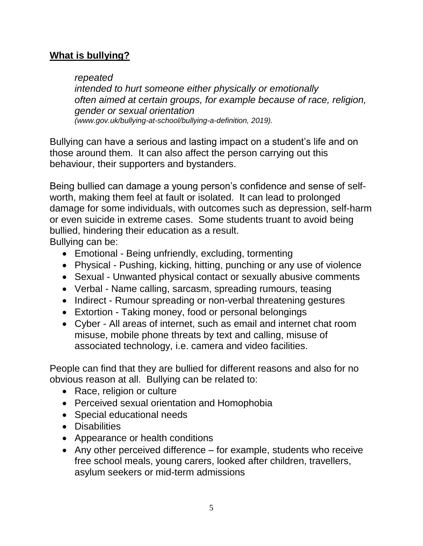#### **What is bullying?**

#### *repeated*

*intended to hurt someone either physically or emotionally often aimed at certain groups, for example because of race, religion, gender or sexual orientation (www.gov.uk/bullying-at-school/bullying-a-definition, 2019).*

Bullying can have a serious and lasting impact on a student's life and on those around them. It can also affect the person carrying out this behaviour, their supporters and bystanders.

Being bullied can damage a young person's confidence and sense of selfworth, making them feel at fault or isolated. It can lead to prolonged damage for some individuals, with outcomes such as depression, self-harm or even suicide in extreme cases. Some students truant to avoid being bullied, hindering their education as a result.

Bullying can be:

- Emotional Being unfriendly, excluding, tormenting
- Physical Pushing, kicking, hitting, punching or any use of violence
- Sexual Unwanted physical contact or sexually abusive comments
- Verbal Name calling, sarcasm, spreading rumours, teasing
- Indirect Rumour spreading or non-verbal threatening gestures
- Extortion Taking money, food or personal belongings
- Cyber All areas of internet, such as email and internet chat room misuse, mobile phone threats by text and calling, misuse of associated technology, i.e. camera and video facilities.

People can find that they are bullied for different reasons and also for no obvious reason at all. Bullying can be related to:

- Race, religion or culture
- Perceived sexual orientation and Homophobia
- Special educational needs
- Disabilities
- Appearance or health conditions
- Any other perceived difference for example, students who receive free school meals, young carers, looked after children, travellers, asylum seekers or mid-term admissions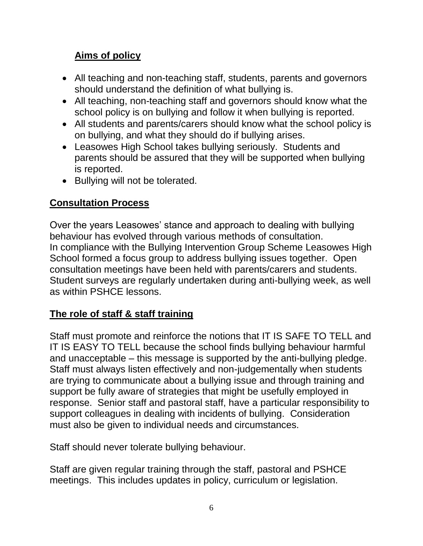## **Aims of policy**

- All teaching and non-teaching staff, students, parents and governors should understand the definition of what bullying is.
- All teaching, non-teaching staff and governors should know what the school policy is on bullying and follow it when bullying is reported.
- All students and parents/carers should know what the school policy is on bullying, and what they should do if bullying arises.
- Leasowes High School takes bullying seriously. Students and parents should be assured that they will be supported when bullying is reported.
- Bullying will not be tolerated.

## **Consultation Process**

Over the years Leasowes' stance and approach to dealing with bullying behaviour has evolved through various methods of consultation. In compliance with the Bullying Intervention Group Scheme Leasowes High School formed a focus group to address bullying issues together. Open consultation meetings have been held with parents/carers and students. Student surveys are regularly undertaken during anti-bullying week, as well as within PSHCE lessons.

## **The role of staff & staff training**

Staff must promote and reinforce the notions that IT IS SAFE TO TELL and IT IS EASY TO TELL because the school finds bullying behaviour harmful and unacceptable – this message is supported by the anti-bullying pledge. Staff must always listen effectively and non-judgementally when students are trying to communicate about a bullying issue and through training and support be fully aware of strategies that might be usefully employed in response. Senior staff and pastoral staff, have a particular responsibility to support colleagues in dealing with incidents of bullying. Consideration must also be given to individual needs and circumstances.

Staff should never tolerate bullying behaviour.

Staff are given regular training through the staff, pastoral and PSHCE meetings. This includes updates in policy, curriculum or legislation.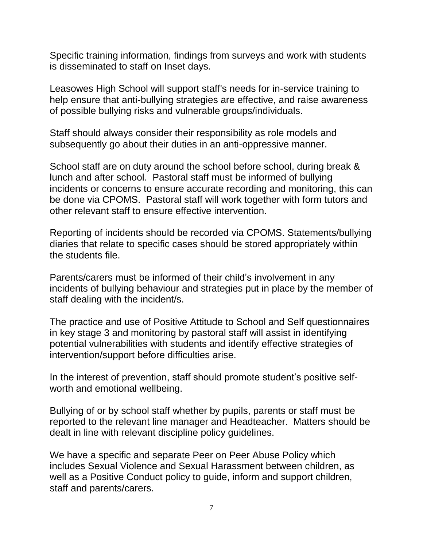Specific training information, findings from surveys and work with students is disseminated to staff on Inset days.

Leasowes High School will support staff's needs for in-service training to help ensure that anti-bullying strategies are effective, and raise awareness of possible bullying risks and vulnerable groups/individuals.

Staff should always consider their responsibility as role models and subsequently go about their duties in an anti-oppressive manner.

School staff are on duty around the school before school, during break & lunch and after school. Pastoral staff must be informed of bullying incidents or concerns to ensure accurate recording and monitoring, this can be done via CPOMS. Pastoral staff will work together with form tutors and other relevant staff to ensure effective intervention.

Reporting of incidents should be recorded via CPOMS. Statements/bullying diaries that relate to specific cases should be stored appropriately within the students file.

Parents/carers must be informed of their child's involvement in any incidents of bullying behaviour and strategies put in place by the member of staff dealing with the incident/s.

The practice and use of Positive Attitude to School and Self questionnaires in key stage 3 and monitoring by pastoral staff will assist in identifying potential vulnerabilities with students and identify effective strategies of intervention/support before difficulties arise.

In the interest of prevention, staff should promote student's positive selfworth and emotional wellbeing.

Bullying of or by school staff whether by pupils, parents or staff must be reported to the relevant line manager and Headteacher. Matters should be dealt in line with relevant discipline policy guidelines.

We have a specific and separate Peer on Peer Abuse Policy which includes Sexual Violence and Sexual Harassment between children, as well as a Positive Conduct policy to guide, inform and support children, staff and parents/carers.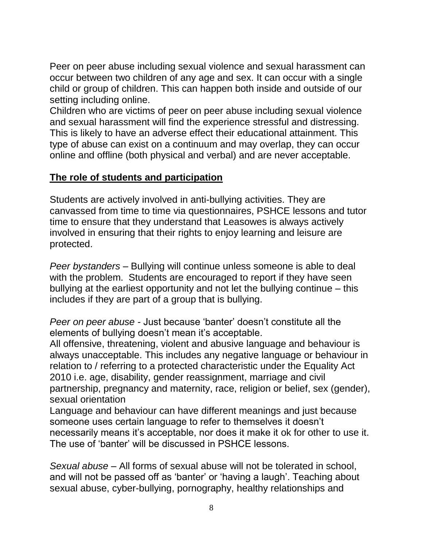Peer on peer abuse including sexual violence and sexual harassment can occur between two children of any age and sex. It can occur with a single child or group of children. This can happen both inside and outside of our setting including online.

Children who are victims of peer on peer abuse including sexual violence and sexual harassment will find the experience stressful and distressing. This is likely to have an adverse effect their educational attainment. This type of abuse can exist on a continuum and may overlap, they can occur online and offline (both physical and verbal) and are never acceptable.

#### **The role of students and participation**

Students are actively involved in anti-bullying activities. They are canvassed from time to time via questionnaires, PSHCE lessons and tutor time to ensure that they understand that Leasowes is always actively involved in ensuring that their rights to enjoy learning and leisure are protected.

*Peer bystanders –* Bullying will continue unless someone is able to deal with the problem. Students are encouraged to report if they have seen bullying at the earliest opportunity and not let the bullying continue – this includes if they are part of a group that is bullying.

*Peer on peer abuse -* Just because 'banter' doesn't constitute all the elements of bullying doesn't mean it's acceptable.

All offensive, threatening, violent and abusive language and behaviour is always unacceptable. This includes any negative language or behaviour in relation to / referring to a protected characteristic under the Equality Act 2010 i.e. age, disability, gender reassignment, marriage and civil partnership, pregnancy and maternity, race, religion or belief, sex (gender), sexual orientation

Language and behaviour can have different meanings and just because someone uses certain language to refer to themselves it doesn't necessarily means it's acceptable, nor does it make it ok for other to use it. The use of 'banter' will be discussed in PSHCE lessons.

*Sexual abuse –* All forms of sexual abuse will not be tolerated in school, and will not be passed off as 'banter' or 'having a laugh'. Teaching about sexual abuse, cyber-bullying, pornography, healthy relationships and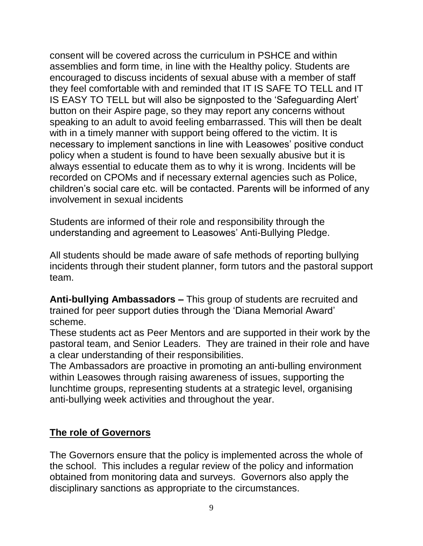consent will be covered across the curriculum in PSHCE and within assemblies and form time, in line with the Healthy policy. Students are encouraged to discuss incidents of sexual abuse with a member of staff they feel comfortable with and reminded that IT IS SAFE TO TELL and IT IS EASY TO TELL but will also be signposted to the 'Safeguarding Alert' button on their Aspire page, so they may report any concerns without speaking to an adult to avoid feeling embarrassed. This will then be dealt with in a timely manner with support being offered to the victim. It is necessary to implement sanctions in line with Leasowes' positive conduct policy when a student is found to have been sexually abusive but it is always essential to educate them as to why it is wrong. Incidents will be recorded on CPOMs and if necessary external agencies such as Police, children's social care etc. will be contacted. Parents will be informed of any involvement in sexual incidents

Students are informed of their role and responsibility through the understanding and agreement to Leasowes' Anti-Bullying Pledge.

All students should be made aware of safe methods of reporting bullying incidents through their student planner, form tutors and the pastoral support team.

**Anti-bullying Ambassadors –** This group of students are recruited and trained for peer support duties through the 'Diana Memorial Award' scheme.

These students act as Peer Mentors and are supported in their work by the pastoral team, and Senior Leaders. They are trained in their role and have a clear understanding of their responsibilities.

The Ambassadors are proactive in promoting an anti-bulling environment within Leasowes through raising awareness of issues, supporting the lunchtime groups, representing students at a strategic level, organising anti-bullying week activities and throughout the year.

#### **The role of Governors**

The Governors ensure that the policy is implemented across the whole of the school. This includes a regular review of the policy and information obtained from monitoring data and surveys. Governors also apply the disciplinary sanctions as appropriate to the circumstances.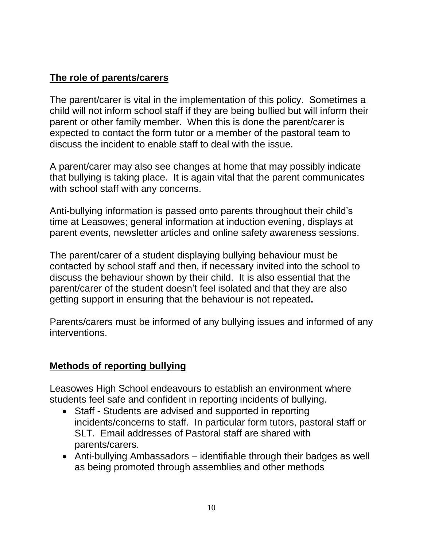### **The role of parents/carers**

The parent/carer is vital in the implementation of this policy. Sometimes a child will not inform school staff if they are being bullied but will inform their parent or other family member. When this is done the parent/carer is expected to contact the form tutor or a member of the pastoral team to discuss the incident to enable staff to deal with the issue.

A parent/carer may also see changes at home that may possibly indicate that bullying is taking place. It is again vital that the parent communicates with school staff with any concerns.

Anti-bullying information is passed onto parents throughout their child's time at Leasowes; general information at induction evening, displays at parent events, newsletter articles and online safety awareness sessions.

The parent/carer of a student displaying bullying behaviour must be contacted by school staff and then, if necessary invited into the school to discuss the behaviour shown by their child. It is also essential that the parent/carer of the student doesn't feel isolated and that they are also getting support in ensuring that the behaviour is not repeated**.** 

Parents/carers must be informed of any bullying issues and informed of any interventions.

#### **Methods of reporting bullying**

Leasowes High School endeavours to establish an environment where students feel safe and confident in reporting incidents of bullying.

- Staff Students are advised and supported in reporting incidents/concerns to staff. In particular form tutors, pastoral staff or SLT. Email addresses of Pastoral staff are shared with parents/carers.
- Anti-bullying Ambassadors identifiable through their badges as well as being promoted through assemblies and other methods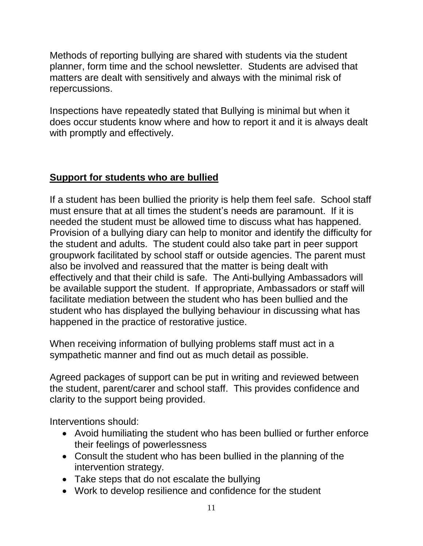Methods of reporting bullying are shared with students via the student planner, form time and the school newsletter. Students are advised that matters are dealt with sensitively and always with the minimal risk of repercussions.

Inspections have repeatedly stated that Bullying is minimal but when it does occur students know where and how to report it and it is always dealt with promptly and effectively.

## **Support for students who are bullied**

If a student has been bullied the priority is help them feel safe. School staff must ensure that at all times the student's needs are paramount. If it is needed the student must be allowed time to discuss what has happened. Provision of a bullying diary can help to monitor and identify the difficulty for the student and adults. The student could also take part in peer support groupwork facilitated by school staff or outside agencies. The parent must also be involved and reassured that the matter is being dealt with effectively and that their child is safe. The Anti-bullying Ambassadors will be available support the student. If appropriate, Ambassadors or staff will facilitate mediation between the student who has been bullied and the student who has displayed the bullying behaviour in discussing what has happened in the practice of restorative justice.

When receiving information of bullying problems staff must act in a sympathetic manner and find out as much detail as possible.

Agreed packages of support can be put in writing and reviewed between the student, parent/carer and school staff. This provides confidence and clarity to the support being provided.

Interventions should:

- Avoid humiliating the student who has been bullied or further enforce their feelings of powerlessness
- Consult the student who has been bullied in the planning of the intervention strategy.
- Take steps that do not escalate the bullying
- Work to develop resilience and confidence for the student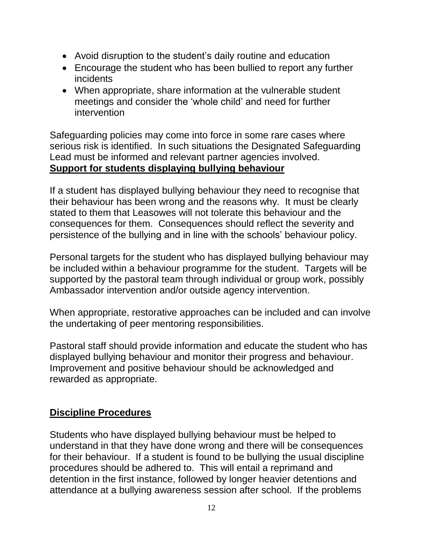- Avoid disruption to the student's daily routine and education
- Encourage the student who has been bullied to report any further incidents
- When appropriate, share information at the vulnerable student meetings and consider the 'whole child' and need for further intervention

Safeguarding policies may come into force in some rare cases where serious risk is identified. In such situations the Designated Safeguarding Lead must be informed and relevant partner agencies involved. **Support for students displaying bullying behaviour**

If a student has displayed bullying behaviour they need to recognise that their behaviour has been wrong and the reasons why. It must be clearly stated to them that Leasowes will not tolerate this behaviour and the consequences for them. Consequences should reflect the severity and persistence of the bullying and in line with the schools' behaviour policy.

Personal targets for the student who has displayed bullying behaviour may be included within a behaviour programme for the student. Targets will be supported by the pastoral team through individual or group work, possibly Ambassador intervention and/or outside agency intervention.

When appropriate, restorative approaches can be included and can involve the undertaking of peer mentoring responsibilities.

Pastoral staff should provide information and educate the student who has displayed bullying behaviour and monitor their progress and behaviour. Improvement and positive behaviour should be acknowledged and rewarded as appropriate.

#### **Discipline Procedures**

Students who have displayed bullying behaviour must be helped to understand in that they have done wrong and there will be consequences for their behaviour. If a student is found to be bullying the usual discipline procedures should be adhered to. This will entail a reprimand and detention in the first instance, followed by longer heavier detentions and attendance at a bullying awareness session after school. If the problems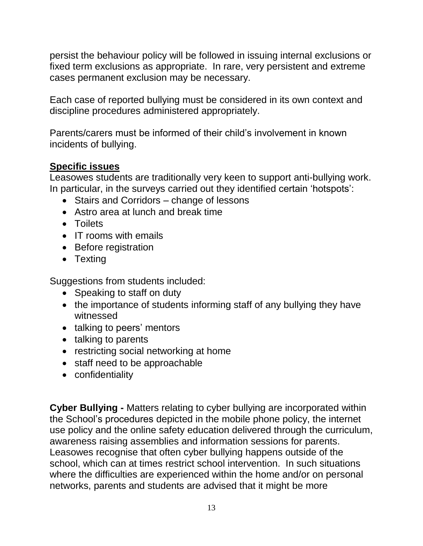persist the behaviour policy will be followed in issuing internal exclusions or fixed term exclusions as appropriate. In rare, very persistent and extreme cases permanent exclusion may be necessary.

Each case of reported bullying must be considered in its own context and discipline procedures administered appropriately.

Parents/carers must be informed of their child's involvement in known incidents of bullying.

#### **Specific issues**

Leasowes students are traditionally very keen to support anti-bullying work. In particular, in the surveys carried out they identified certain 'hotspots':

- Stairs and Corridors change of lessons
- Astro area at lunch and break time
- Toilets
- IT rooms with emails
- Before registration
- Texting

Suggestions from students included:

- Speaking to staff on duty
- the importance of students informing staff of any bullying they have witnessed
- talking to peers' mentors
- talking to parents
- restricting social networking at home
- staff need to be approachable
- confidentiality

**Cyber Bullying -** Matters relating to cyber bullying are incorporated within the School's procedures depicted in the mobile phone policy, the internet use policy and the online safety education delivered through the curriculum, awareness raising assemblies and information sessions for parents. Leasowes recognise that often cyber bullying happens outside of the school, which can at times restrict school intervention. In such situations where the difficulties are experienced within the home and/or on personal networks, parents and students are advised that it might be more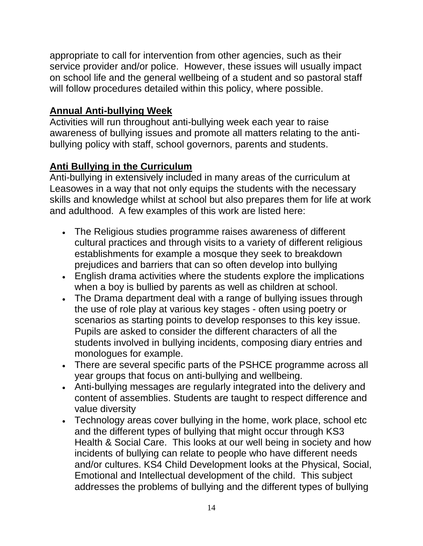appropriate to call for intervention from other agencies, such as their service provider and/or police. However, these issues will usually impact on school life and the general wellbeing of a student and so pastoral staff will follow procedures detailed within this policy, where possible.

## **Annual Anti-bullying Week**

Activities will run throughout anti-bullying week each year to raise awareness of bullying issues and promote all matters relating to the antibullying policy with staff, school governors, parents and students.

## **Anti Bullying in the Curriculum**

Anti-bullying in extensively included in many areas of the curriculum at Leasowes in a way that not only equips the students with the necessary skills and knowledge whilst at school but also prepares them for life at work and adulthood. A few examples of this work are listed here:

- The Religious studies programme raises awareness of different cultural practices and through visits to a variety of different religious establishments for example a mosque they seek to breakdown prejudices and barriers that can so often develop into bullying
- English drama activities where the students explore the implications when a boy is bullied by parents as well as children at school.
- The Drama department deal with a range of bullying issues through the use of role play at various key stages - often using poetry or scenarios as starting points to develop responses to this key issue. Pupils are asked to consider the different characters of all the students involved in bullying incidents, composing diary entries and monologues for example.
- There are several specific parts of the PSHCE programme across all year groups that focus on anti-bullying and wellbeing.
- Anti-bullying messages are regularly integrated into the delivery and content of assemblies. Students are taught to respect difference and value diversity
- Technology areas cover bullying in the home, work place, school etc and the different types of bullying that might occur through KS3 Health & Social Care. This looks at our well being in society and how incidents of bullying can relate to people who have different needs and/or cultures. KS4 Child Development looks at the Physical, Social, Emotional and Intellectual development of the child. This subject addresses the problems of bullying and the different types of bullying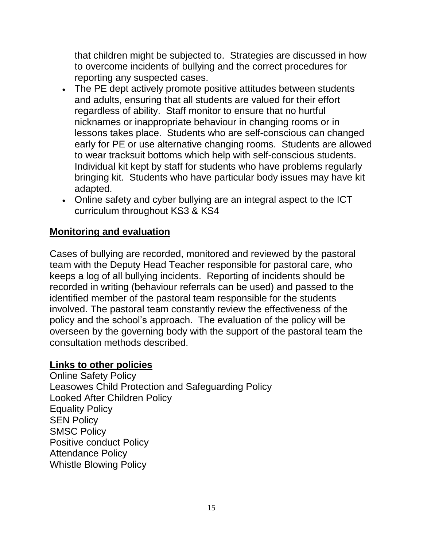that children might be subjected to. Strategies are discussed in how to overcome incidents of bullying and the correct procedures for reporting any suspected cases.

- The PE dept actively promote positive attitudes between students and adults, ensuring that all students are valued for their effort regardless of ability. Staff monitor to ensure that no hurtful nicknames or inappropriate behaviour in changing rooms or in lessons takes place. Students who are self-conscious can changed early for PE or use alternative changing rooms. Students are allowed to wear tracksuit bottoms which help with self-conscious students. Individual kit kept by staff for students who have problems regularly bringing kit. Students who have particular body issues may have kit adapted.
- Online safety and cyber bullying are an integral aspect to the ICT curriculum throughout KS3 & KS4

#### **Monitoring and evaluation**

Cases of bullying are recorded, monitored and reviewed by the pastoral team with the Deputy Head Teacher responsible for pastoral care, who keeps a log of all bullying incidents. Reporting of incidents should be recorded in writing (behaviour referrals can be used) and passed to the identified member of the pastoral team responsible for the students involved. The pastoral team constantly review the effectiveness of the policy and the school's approach. The evaluation of the policy will be overseen by the governing body with the support of the pastoral team the consultation methods described.

#### **Links to other policies**

Online Safety Policy Leasowes Child Protection and Safeguarding Policy Looked After Children Policy Equality Policy SEN Policy SMSC Policy Positive conduct Policy Attendance Policy Whistle Blowing Policy